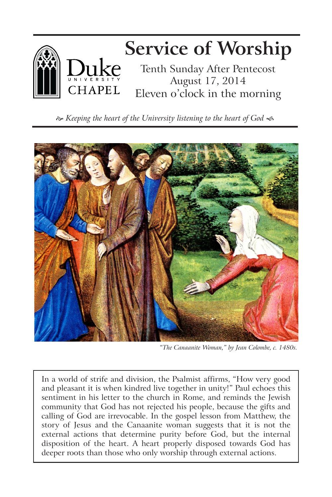

 *Keeping the heart of the University listening to the heart of God*



*"The Canaanite Woman," by Jean Colombe, c. 1480s.*

In a world of strife and division, the Psalmist affirms, "How very good and pleasant it is when kindred live together in unity!" Paul echoes this sentiment in his letter to the church in Rome, and reminds the Jewish community that God has not rejected his people, because the gifts and calling of God are irrevocable. In the gospel lesson from Matthew, the story of Jesus and the Canaanite woman suggests that it is not the external actions that determine purity before God, but the internal disposition of the heart. A heart properly disposed towards God has deeper roots than those who only worship through external actions.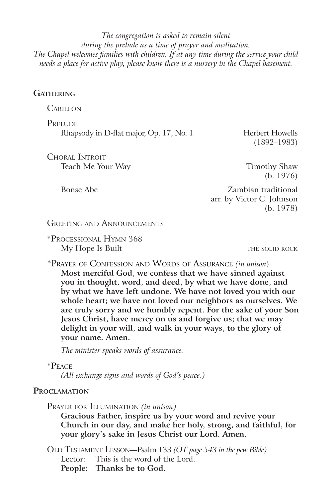*The congregation is asked to remain silent during the prelude as a time of prayer and meditation. The Chapel welcomes families with children. If at any time during the service your child needs a place for active play, please know there is a nursery in the Chapel basement.*

### **Gathering**

**CARILLON** 

**PRELUDE** Rhapsody in D-flat major, Op. 17, No. 1 Herbert Howells

(1892–1983)

Choral Introit Teach Me Your Way **Timothy Shaw** 

(b. 1976)

Bonse Abe Zambian traditional arr. by Victor C. Johnson (b. 1978)

GREETING AND ANNOUNCEMENTS

\*Processional Hymn 368 My Hope Is Built **the solid resolution** THE SOLID ROCK

\*Prayer of Confession and Words of Assurance *(in unison*) **Most merciful God, we confess that we have sinned against you in thought, word, and deed, by what we have done, and by what we have left undone. We have not loved you with our whole heart; we have not loved our neighbors as ourselves. We are truly sorry and we humbly repent. For the sake of your Son Jesus Christ, have mercy on us and forgive us; that we may delight in your will, and walk in your ways, to the glory of your name. Amen.** 

*The minister speaks words of assurance.*

#### \*Peace

*(All exchange signs and words of God's peace.)*

## **Proclamation**

Prayer for Illumination *(in unison)*

**Gracious Father, inspire us by your word and revive your Church in our day, and make her holy, strong, and faithful, for your glory's sake in Jesus Christ our Lord. Amen.**

Old Testament Lesson—Psalm 133 *(OT page 543 in the pew Bible)* Lector: This is the word of the Lord. **People: Thanks be to God.**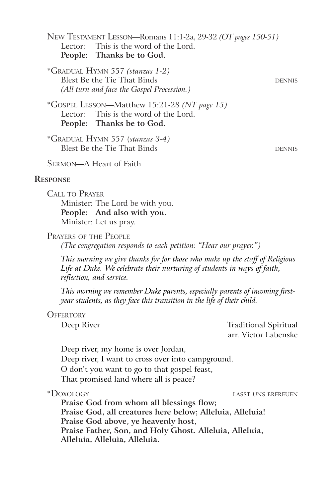New Testament Lesson—Romans 11:1-2a, 29-32 *(OT pages 150-51)* Lector: This is the word of the Lord. **People: Thanks be to God.**

\*Gradual Hymn 557 *(stanzas 1-2)* Blest Be the Tie That Binds dennis beings beings beings beings beings beings beings beings beings beings beings beings beings beings beings beings beings beings beings beings beings beings beings beings beings beings being *(All turn and face the Gospel Procession.)*

\*Gospel Lesson—Matthew 15:21-28 *(NT page 15)* Lector: This is the word of the Lord. **People: Thanks be to God.**

\*Gradual Hymn 557 (*stanzas 3-4)* Blest Be the Tie That Binds dennis beings beings the DENNIS

Sermon—A Heart of Faith

#### **Response**

Call to Prayer Minister: The Lord be with you. **People: And also with you.** Minister: Let us pray.

Prayers of the People

*(The congregation responds to each petition: "Hear our prayer.")*

*This morning we give thanks for for those who make up the staff of Religious Life at Duke. We celebrate their nurturing of students in ways of faith, reflection, and service.* 

*This morning we remember Duke parents, especially parents of incoming firstyear students, as they face this transition in the life of their child.* 

#### **OFFERTORY**

Deep River Traditional Spiritual arr. Victor Labenske

Deep river, my home is over Jordan, Deep river, I want to cross over into campground. O don't you want to go to that gospel feast, That promised land where all is peace?

\*Doxology lasst uns erfreuen

**Praise God from whom all blessings flow; Praise God, all creatures here below; Alleluia, Alleluia! Praise God above, ye heavenly host, Praise Father, Son, and Holy Ghost. Alleluia, Alleluia, Alleluia, Alleluia, Alleluia.**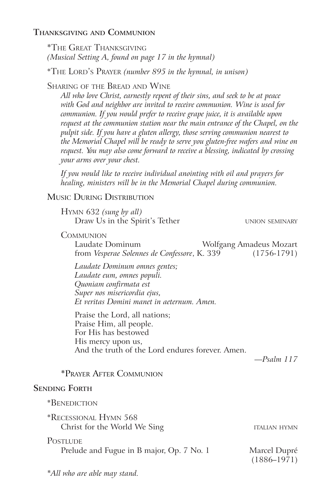## **Thanksgiving and Communion**

\*The Great Thanksgiving *(Musical Setting A, found on page 17 in the hymnal)*

\*The Lord's Prayer *(number 895 in the hymnal, in unison)*

## Sharing of the Bread and Wine

*All who love Christ, earnestly repent of their sins, and seek to be at peace with God and neighbor are invited to receive communion. Wine is used for communion. If you would prefer to receive grape juice, it is available upon request at the communion station near the main entrance of the Chapel, on the pulpit side. If you have a gluten allergy, those serving communion nearest to the Memorial Chapel will be ready to serve you gluten-free wafers and wine on request. You may also come forward to receive a blessing, indicated by crossing your arms over your chest.* 

*If you would like to receive individual anointing with oil and prayers for healing, ministers will be in the Memorial Chapel during communion.*

## Music During Distribution

Hymn 632 *(sung by all)* Draw Us in the Spirit's Tether UNION SEMINARY

**COMMUNION** 

Laudate Dominum Wolfgang Amadeus Mozart from *Vesperae Solennes de Confessore*, K. 339 (1756-1791)

*Laudate Dominum omnes gentes; Laudate eum, omnes populi. Quoniam confirmata est Super nos misericordia ejus, Et veritas Domini manet in aeternum. Amen.*

Praise the Lord, all nations; Praise Him, all people. For His has bestowed His mercy upon us, And the truth of the Lord endures forever. Amen.

*—Psalm 117*

## \*Prayer After Communion

## **Sending Forth**

| *BENEDICTION                                          |                                 |
|-------------------------------------------------------|---------------------------------|
| *Recessional Hymn 568<br>Christ for the World We Sing | <b>ITALIAN HYMN</b>             |
| POSTLUDE<br>Prelude and Fugue in B major, Op. 7 No. 1 | Marcel Dupré<br>$(1886 - 1971)$ |

*\*All who are able may stand.*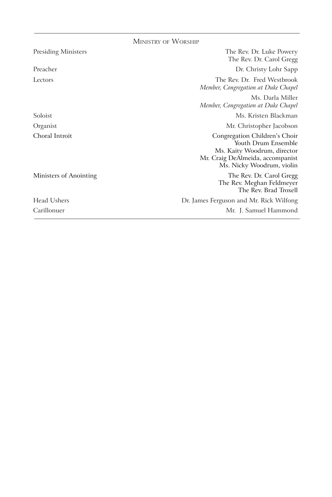|                            | <b>MINISTRY OF WORSHIP</b>                                                                                                                           |
|----------------------------|------------------------------------------------------------------------------------------------------------------------------------------------------|
| <b>Presiding Ministers</b> | The Rev. Dr. Luke Powery<br>The Rev. Dr. Carol Gregg                                                                                                 |
| Preacher                   | Dr. Christy Lohr Sapp                                                                                                                                |
| Lectors                    | The Rev. Dr. Fred Westbrook<br>Member, Congregation at Duke Chapel                                                                                   |
|                            | Ms. Darla Miller<br>Member, Congregation at Duke Chapel                                                                                              |
| Soloist                    | Ms. Kristen Blackman                                                                                                                                 |
| Organist                   | Mr. Christopher Jacobson                                                                                                                             |
| Choral Introit             | Congregation Children's Choir<br>Youth Drum Ensemble<br>Ms. Kaity Woodrum, director<br>Mr. Craig DeAlmeida, accompanist<br>Ms. Nicky Woodrum, violin |
| Ministers of Anointing     | The Rev. Dr. Carol Gregg<br>The Rev. Meghan Feldmeyer<br>The Rev. Brad Troxell                                                                       |
| Head Ushers                | Dr. James Ferguson and Mr. Rick Wilfong                                                                                                              |
| Carillonuer                | Mr. J. Samuel Hammond                                                                                                                                |
|                            |                                                                                                                                                      |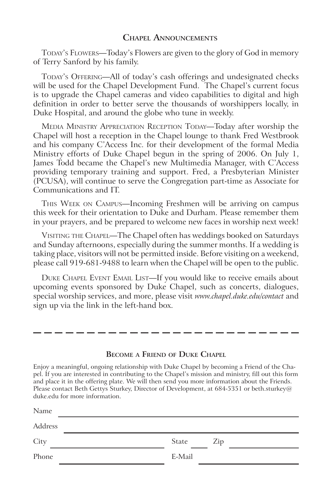#### **Chapel Announcements**

TODAY's FLOWERS—Today's Flowers are given to the glory of God in memory of Terry Sanford by his family.

Today's Offering—All of today's cash offerings and undesignated checks will be used for the Chapel Development Fund. The Chapel's current focus is to upgrade the Chapel cameras and video capabilities to digital and high definition in order to better serve the thousands of worshippers locally, in Duke Hospital, and around the globe who tune in weekly.

Media Ministry Appreciation Reception Today—Today after worship the Chapel will host a reception in the Chapel lounge to thank Fred Westbrook and his company C'Access Inc. for their development of the formal Media Ministry efforts of Duke Chapel begun in the spring of 2006. On July 1, James Todd became the Chapel's new Multimedia Manager, with C'Access providing temporary training and support. Fred, a Presbyterian Minister (PCUSA), will continue to serve the Congregation part-time as Associate for Communications and IT.

This Week on Campus—Incoming Freshmen will be arriving on campus this week for their orientation to Duke and Durham. Please remember them in your prayers, and be prepared to welcome new faces in worship next week!

VISITING THE CHAPEL-The Chapel often has weddings booked on Saturdays and Sunday afternoons, especially during the summer months. If a wedding is taking place, visitors will not be permitted inside. Before visiting on a weekend, please call 919-681-9488 to learn when the Chapel will be open to the public.

Duke Chapel Event Email List—If you would like to receive emails about upcoming events sponsored by Duke Chapel, such as concerts, dialogues, special worship services, and more, please visit *www.chapel.duke.edu/contact* and sign up via the link in the left-hand box.

- -- -- -- -- -- -

#### **Become a Friend of Duke Chapel**

Enjoy a meaningful, ongoing relationship with Duke Chapel by becoming a Friend of the Chapel. If you are interested in contributing to the Chapel's mission and ministry, fill out this form and place it in the offering plate. We will then send you more information about the Friends. Please contact Beth Gettys Sturkey, Director of Development, at 684-5351 or beth.sturkey@ duke.edu for more information.

| Name    |              |
|---------|--------------|
| Address |              |
| City    | Zip<br>State |
| Phone   | E-Mail       |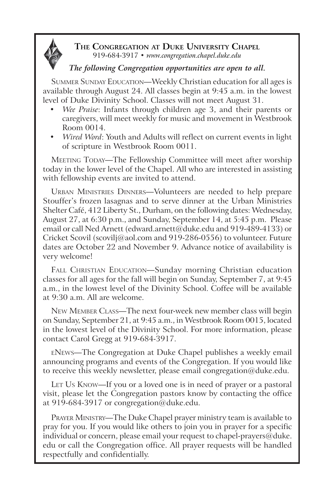

**The Congregation at Duke University Chapel** 919-684-3917 • *www.congregation.chapel.duke.edu*

# *The following Congregation opportunities are open to all.*

SUMMER SUNDAY EDUCATION—Weekly Christian education for all ages is available through August 24. All classes begin at 9:45 a.m. in the lowest level of Duke Divinity School. Classes will not meet August 31.

- *Wee Praise*: Infants through children age 3, and their parents or caregivers, will meet weekly for music and movement in Westbrook Room 0014.
- • *Wired Word*: Youth and Adults will reflect on current events in light of scripture in Westbrook Room 0011.

MEETING TODAY—The Fellowship Committee will meet after worship today in the lower level of the Chapel. All who are interested in assisting with fellowship events are invited to attend.

Urban Ministries Dinners—Volunteers are needed to help prepare Stouffer's frozen lasagnas and to serve dinner at the Urban Ministries Shelter Café, 412 Liberty St., Durham, on the following dates: Wednesday, August 27, at 6:30 p.m., and Sunday, September 14, at 5:45 p.m. Please email or call Ned Arnett (edward.arnett@duke.edu and 919-489-4133) or Cricket Scovil (scovilj@aol.com and 919-286-0556) to volunteer. Future dates are October 22 and November 9. Advance notice of availability is very welcome!

FALL CHRISTIAN EDUCATION—Sunday morning Christian education classes for all ages for the fall will begin on Sunday, September 7, at 9:45 a.m., in the lowest level of the Divinity School. Coffee will be available at 9:30 a.m. All are welcome.

New Member Class—The next four-week new member class will begin on Sunday, September 21, at 9:45 a.m., in Westbrook Room 0015, located in the lowest level of the Divinity School. For more information, please contact Carol Gregg at 919-684-3917.

eNews—The Congregation at Duke Chapel publishes a weekly email announcing programs and events of the Congregation. If you would like to receive this weekly newsletter, please email congregation@duke.edu.

LET Us KNOW—If you or a loved one is in need of prayer or a pastoral visit, please let the Congregation pastors know by contacting the office at 919-684-3917 or congregation@duke.edu.

Prayer Ministry—The Duke Chapel prayer ministry team is available to pray for you. If you would like others to join you in prayer for a specific individual or concern, please email your request to chapel-prayers@duke. edu or call the Congregation office. All prayer requests will be handled respectfully and confidentially.